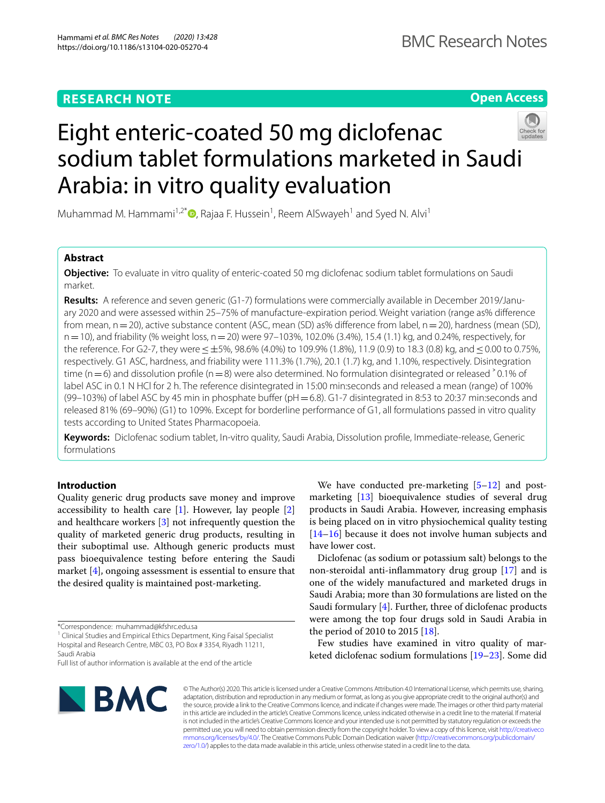# **RESEARCH NOTE**

**Open Access**

# Eight enteric-coated 50 mg diclofenac sodium tablet formulations marketed in Saudi Arabia: in vitro quality evaluation



Muhammad M. Hammami<sup>1[,](http://orcid.org/0000-0002-0086-5819)2\*</sup>®, Rajaa F. Hussein<sup>1</sup>, Reem AlSwayeh<sup>1</sup> and Syed N. Alvi<sup>1</sup>

# **Abstract**

**Objective:** To evaluate in vitro quality of enteric-coated 50 mg diclofenac sodium tablet formulations on Saudi market.

**Results:** A reference and seven generic (G1-7) formulations were commercially available in December 2019/January 2020 and were assessed within 25–75% of manufacture-expiration period. Weight variation (range as% diference from mean,  $n=20$ , active substance content (ASC, mean (SD) as% difference from label,  $n=20$ ), hardness (mean (SD),  $n=10$ ), and friability (% weight loss,  $n=20$ ) were 97–103%, 102.0% (3.4%), 15.4 (1.1) kg, and 0.24%, respectively, for the reference. For G2-7, they were ≤±5%, 98.6% (4.0%) to 109.9% (1.8%), 11.9 (0.9) to 18.3 (0.8) kg, and ≤0.00 to 0.75%, respectively. G1 ASC, hardness, and friability were 111.3% (1.7%), 20.1 (1.7) kg, and 1.10%, respectively. Disintegration time ( $n=6$ ) and dissolution profile ( $n=8$ ) were also determined. No formulation disintegrated or released  $\degree$  0.1% of label ASC in 0.1 N HCl for 2 h. The reference disintegrated in 15:00 min:seconds and released a mean (range) of 100% (99–103%) of label ASC by 45 min in phosphate buffer ( $pH$  = 6.8). G1-7 disintegrated in 8:53 to 20:37 min:seconds and released 81% (69–90%) (G1) to 109%. Except for borderline performance of G1, all formulations passed in vitro quality tests according to United States Pharmacopoeia.

**Keywords:** Diclofenac sodium tablet, In-vitro quality, Saudi Arabia, Dissolution profle, Immediate-release, Generic formulations

# **Introduction**

Quality generic drug products save money and improve accessibility to health care [[1](#page-5-0)]. However, lay people [\[2](#page-5-1)] and healthcare workers [[3\]](#page-5-2) not infrequently question the quality of marketed generic drug products, resulting in their suboptimal use. Although generic products must pass bioequivalence testing before entering the Saudi market [\[4](#page-5-3)], ongoing assessment is essential to ensure that the desired quality is maintained post-marketing.

\*Correspondence: muhammad@kfshrc.edu.sa

<sup>1</sup> Clinical Studies and Empirical Ethics Department, King Faisal Specialist Hospital and Research Centre, MBC 03, PO Box # 3354, Riyadh 11211, Saudi Arabia

We have conducted pre-marketing [\[5](#page-5-4)–[12\]](#page-5-5) and postmarketing [[13\]](#page-5-6) bioequivalence studies of several drug products in Saudi Arabia. However, increasing emphasis is being placed on in vitro physiochemical quality testing [[14–](#page-5-7)[16\]](#page-5-8) because it does not involve human subjects and have lower cost.

Diclofenac (as sodium or potassium salt) belongs to the non-steroidal anti-infammatory drug group [\[17](#page-5-9)] and is one of the widely manufactured and marketed drugs in Saudi Arabia; more than 30 formulations are listed on the Saudi formulary [\[4](#page-5-3)]. Further, three of diclofenac products were among the top four drugs sold in Saudi Arabia in the period of 2010 to 2015 [\[18](#page-5-10)].

Few studies have examined in vitro quality of marketed diclofenac sodium formulations [[19–](#page-5-11)[23\]](#page-5-12). Some did



© The Author(s) 2020. This article is licensed under a Creative Commons Attribution 4.0 International License, which permits use, sharing, adaptation, distribution and reproduction in any medium or format, as long as you give appropriate credit to the original author(s) and the source, provide a link to the Creative Commons licence, and indicate if changes were made. The images or other third party material in this article are included in the article's Creative Commons licence, unless indicated otherwise in a credit line to the material. If material is not included in the article's Creative Commons licence and your intended use is not permitted by statutory regulation or exceeds the permitted use, you will need to obtain permission directly from the copyright holder. To view a copy of this licence, visit [http://creativeco](http://creativecommons.org/licenses/by/4.0/) [mmons.org/licenses/by/4.0/.](http://creativecommons.org/licenses/by/4.0/) The Creative Commons Public Domain Dedication waiver ([http://creativecommons.org/publicdomain/](http://creativecommons.org/publicdomain/zero/1.0/) [zero/1.0/\)](http://creativecommons.org/publicdomain/zero/1.0/) applies to the data made available in this article, unless otherwise stated in a credit line to the data.

Full list of author information is available at the end of the article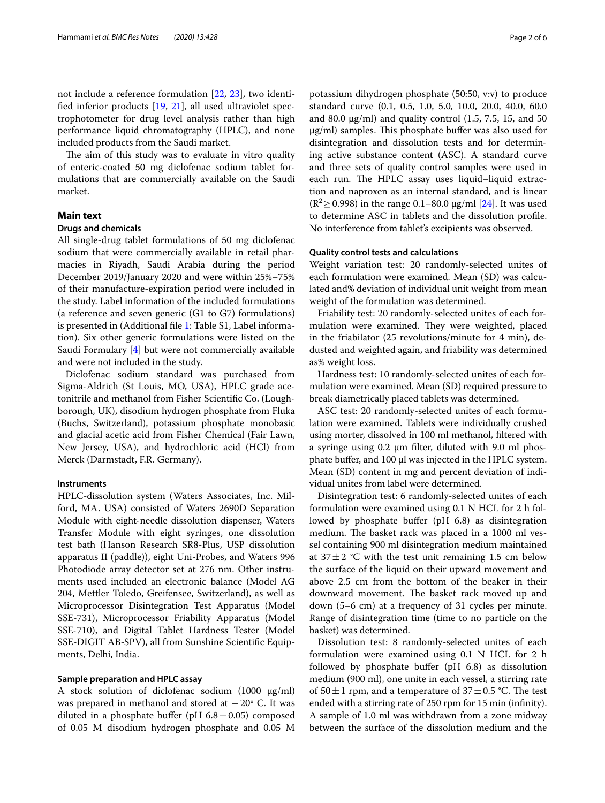not include a reference formulation [\[22,](#page-5-13) [23](#page-5-12)], two identifed inferior products [\[19,](#page-5-11) [21\]](#page-5-14), all used ultraviolet spectrophotometer for drug level analysis rather than high performance liquid chromatography (HPLC), and none included products from the Saudi market.

The aim of this study was to evaluate in vitro quality of enteric-coated 50 mg diclofenac sodium tablet formulations that are commercially available on the Saudi market.

## **Main text**

# **Drugs and chemicals**

All single-drug tablet formulations of 50 mg diclofenac sodium that were commercially available in retail pharmacies in Riyadh, Saudi Arabia during the period December 2019/January 2020 and were within 25%–75% of their manufacture-expiration period were included in the study. Label information of the included formulations (a reference and seven generic (G1 to G7) formulations) is presented in (Additional fle [1:](#page-4-0) Table S1, Label information). Six other generic formulations were listed on the Saudi Formulary [\[4\]](#page-5-3) but were not commercially available and were not included in the study.

Diclofenac sodium standard was purchased from Sigma-Aldrich (St Louis, MO, USA), HPLC grade acetonitrile and methanol from Fisher Scientifc Co. (Loughborough, UK), disodium hydrogen phosphate from Fluka (Buchs, Switzerland), potassium phosphate monobasic and glacial acetic acid from Fisher Chemical (Fair Lawn, New Jersey, USA), and hydrochloric acid (HCl) from Merck (Darmstadt, F.R. Germany).

## **Instruments**

HPLC-dissolution system (Waters Associates, Inc. Milford, MA. USA) consisted of Waters 2690D Separation Module with eight-needle dissolution dispenser, Waters Transfer Module with eight syringes, one dissolution test bath (Hanson Research SR8-Plus, USP dissolution apparatus II (paddle)), eight Uni-Probes, and Waters 996 Photodiode array detector set at 276 nm. Other instruments used included an electronic balance (Model AG 204, Mettler Toledo, Greifensee, Switzerland), as well as Microprocessor Disintegration Test Apparatus (Model SSE-731), Microprocessor Friability Apparatus (Model SSE-710), and Digital Tablet Hardness Tester (Model SSE-DIGIT AB-SPV), all from Sunshine Scientifc Equipments, Delhi, India.

## **Sample preparation and HPLC assay**

A stock solution of diclofenac sodium  $(1000 \mu g/ml)$ was prepared in methanol and stored at  $-20$ ° C. It was diluted in a phosphate buffer (pH  $6.8 \pm 0.05$ ) composed of 0.05 M disodium hydrogen phosphate and 0.05 M potassium dihydrogen phosphate (50:50, v:v) to produce standard curve (0.1, 0.5, 1.0, 5.0, 10.0, 20.0, 40.0, 60.0 and 80.0  $\mu$ g/ml) and quality control (1.5, 7.5, 15, and 50  $\mu$ g/ml) samples. This phosphate buffer was also used for disintegration and dissolution tests and for determining active substance content (ASC). A standard curve and three sets of quality control samples were used in each run. The HPLC assay uses liquid-liquid extraction and naproxen as an internal standard, and is linear ( $R^2$  ≥ 0.998) in the range 0.1–80.0 µg/ml [[24](#page-5-15)]. It was used to determine ASC in tablets and the dissolution profle. No interference from tablet's excipients was observed.

## **Quality control tests and calculations**

Weight variation test: 20 randomly-selected unites of each formulation were examined. Mean (SD) was calculated and% deviation of individual unit weight from mean weight of the formulation was determined.

Friability test: 20 randomly-selected unites of each formulation were examined. They were weighted, placed in the friabilator (25 revolutions/minute for 4 min), dedusted and weighted again, and friability was determined as% weight loss.

Hardness test: 10 randomly-selected unites of each formulation were examined. Mean (SD) required pressure to break diametrically placed tablets was determined.

ASC test: 20 randomly-selected unites of each formulation were examined. Tablets were individually crushed using morter, dissolved in 100 ml methanol, fltered with a syringe using  $0.2 \mu m$  filter, diluted with  $9.0 \text{ ml}$  phosphate buffer, and 100 µl was injected in the HPLC system. Mean (SD) content in mg and percent deviation of individual unites from label were determined.

Disintegration test: 6 randomly-selected unites of each formulation were examined using 0.1 N HCL for 2 h followed by phosphate buffer (pH 6.8) as disintegration medium. The basket rack was placed in a 1000 ml vessel containing 900 ml disintegration medium maintained at  $37 \pm 2$  °C with the test unit remaining 1.5 cm below the surface of the liquid on their upward movement and above 2.5 cm from the bottom of the beaker in their downward movement. The basket rack moved up and down (5–6 cm) at a frequency of 31 cycles per minute. Range of disintegration time (time to no particle on the basket) was determined.

Dissolution test: 8 randomly-selected unites of each formulation were examined using 0.1 N HCL for 2 h followed by phosphate buffer (pH 6.8) as dissolution medium (900 ml), one unite in each vessel, a stirring rate of  $50 \pm 1$  rpm, and a temperature of  $37 \pm 0.5$  °C. The test ended with a stirring rate of 250 rpm for 15 min (infnity). A sample of 1.0 ml was withdrawn from a zone midway between the surface of the dissolution medium and the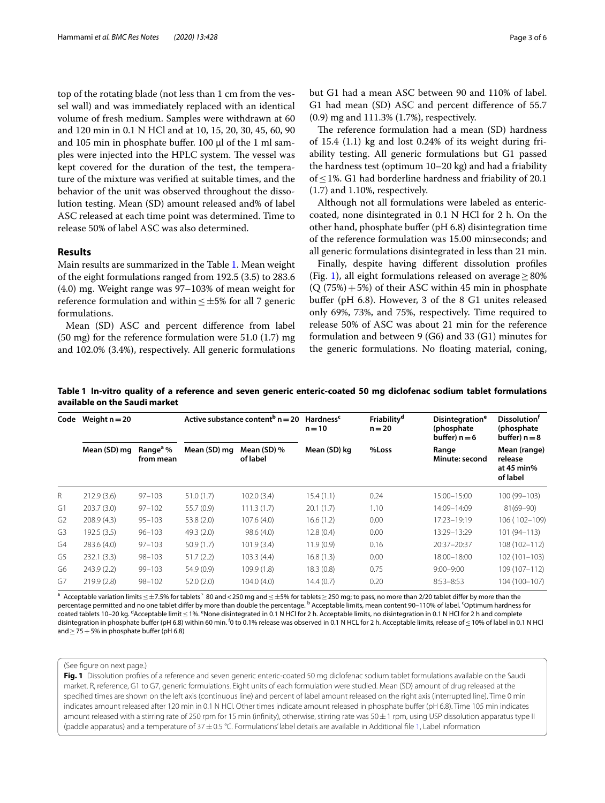top of the rotating blade (not less than 1 cm from the vessel wall) and was immediately replaced with an identical volume of fresh medium. Samples were withdrawn at 60 and 120 min in 0.1 N HCl and at 10, 15, 20, 30, 45, 60, 90 and 105 min in phosphate buffer. 100  $\mu$ l of the 1 ml samples were injected into the HPLC system. The vessel was kept covered for the duration of the test, the temperature of the mixture was verifed at suitable times, and the behavior of the unit was observed throughout the dissolution testing. Mean (SD) amount released and% of label ASC released at each time point was determined. Time to release 50% of label ASC was also determined.

## **Results**

Main results are summarized in the Table [1.](#page-2-0) Mean weight of the eight formulations ranged from 192.5 (3.5) to 283.6 (4.0) mg. Weight range was 97–103% of mean weight for reference formulation and within  $\leq \pm 5\%$  for all 7 generic formulations.

Mean (SD) ASC and percent diference from label (50 mg) for the reference formulation were 51.0 (1.7) mg and 102.0% (3.4%), respectively. All generic formulations but G1 had a mean ASC between 90 and 110% of label. G1 had mean (SD) ASC and percent diference of 55.7 (0.9) mg and 111.3% (1.7%), respectively.

The reference formulation had a mean (SD) hardness of 15.4 (1.1) kg and lost 0.24% of its weight during friability testing. All generic formulations but G1 passed the hardness test (optimum 10–20 kg) and had a friability of≤1%. G1 had borderline hardness and friability of 20.1 (1.7) and 1.10%, respectively.

Although not all formulations were labeled as entericcoated, none disintegrated in 0.1 N HCl for 2 h. On the other hand, phosphate bufer (pH 6.8) disintegration time of the reference formulation was 15.00 min:seconds; and all generic formulations disintegrated in less than 21 min.

Finally, despite having diferent dissolution profles (Fig. [1\)](#page-2-1), all eight formulations released on average  $\geq$  80%  $(Q (75%) + 5%)$  of their ASC within 45 min in phosphate bufer (pH 6.8). However, 3 of the 8 G1 unites released only 69%, 73%, and 75%, respectively. Time required to release 50% of ASC was about 21 min for the reference formulation and between 9 (G6) and 33 (G1) minutes for the generic formulations. No floating material, coning,

<span id="page-2-0"></span>**Table 1 In-vitro quality of a reference and seven generic enteric-coated 50 mg diclofenac sodium tablet formulations available on the Saudi market**

| Code           | Weight $n = 20$ |                                   | Active substance content <sup>b</sup> $n = 20$ Hardness <sup>c</sup> |                         | $n = 10$     | Friability <sup>d</sup><br>$n = 20$ | <b>Disintegration<sup>e</sup></b><br>(phosphate<br>buffer) $n = 6$ | <b>Dissolution</b> <sup>t</sup><br>(phosphate)<br>buffer) $n = 8$ |
|----------------|-----------------|-----------------------------------|----------------------------------------------------------------------|-------------------------|--------------|-------------------------------------|--------------------------------------------------------------------|-------------------------------------------------------------------|
|                | Mean (SD) mg    | Range <sup>a</sup> %<br>from mean | Mean (SD) mg                                                         | Mean (SD) %<br>of label | Mean (SD) kg | %Loss                               | Range<br>Minute: second                                            | Mean (range)<br>release<br>at 45 min%<br>of label                 |
| $\mathsf{R}$   | 212.9(3.6)      | $97 - 103$                        | 51.0(1.7)                                                            | 102.0 (3.4)             | 15.4(1.1)    | 0.24                                | 15:00-15:00                                                        | 100 (99-103)                                                      |
| G1             | 203.7(3.0)      | $97 - 102$                        | 55.7(0.9)                                                            | 111.3(1.7)              | 20.1(1.7)    | 1.10                                | 14:09-14:09                                                        | $81(69 - 90)$                                                     |
| G <sub>2</sub> | 208.9 (4.3)     | $95 - 103$                        | 53.8 (2.0)                                                           | 107.6(4.0)              | 16.6(1.2)    | 0.00                                | 17:23-19:19                                                        | 106 (102-109)                                                     |
| G3             | 192.5 (3.5)     | $96 - 103$                        | 49.3(2.0)                                                            | 98.6(4.0)               | 12.8(0.4)    | 0.00                                | 13:29-13:29                                                        | 101 (94-113)                                                      |
| G4             | 283.6 (4.0)     | $97 - 103$                        | 50.9(1.7)                                                            | 101.9(3.4)              | 11.9(0.9)    | 0.16                                | 20:37-20:37                                                        | 108 (102-112)                                                     |
| G5             | 232.1(3.3)      | $98 - 103$                        | 51.7(2.2)                                                            | 103.3(4.4)              | 16.8(1.3)    | 0.00                                | 18:00-18:00                                                        | 102 (101-103)                                                     |
| G6             | 243.9(2.2)      | $99 - 103$                        | 54.9 (0.9)                                                           | 109.9(1.8)              | 18.3(0.8)    | 0.75                                | $9:00 - 9:00$                                                      | 109 (107-112)                                                     |
| G7             | 219.9(2.8)      | $98 - 102$                        | 52.0(2.0)                                                            | 104.0(4.0)              | 14.4(0.7)    | 0.20                                | $8:53 - 8:53$                                                      | 104 (100-107)                                                     |

<sup>a</sup> Acceptable variation limits ≤±7.5% for tablets<sup>></sup> 80 and < 250 mg and ≤±5% for tablets ≥ 250 mg; to pass, no more than 2/20 tablet differ by more than the percentage permitted and no one tablet differ by more than double the percentage. <sup>b</sup> Acceptable limits, mean content 90–110% of label. <sup>c</sup>Optimum hardness for  $\frac{1}{100}$  coated tablets 10–20 kg.  $\frac{d}{d}$  Acceptable limit $\leq$  1%.  $\frac{6}{100}$  None disintegrated in 0.1 N HCl for 2 h. Acceptable limits, no disintegration in 0.1 N HCl for 2 h and complete disintegration in phosphate buffer (pH 6.8) within 60 min. <sup>f</sup>0 to 0.1% release was observed in 0.1 N HCL for 2 h. Acceptable limits, release of  $\leq$  10% of label in 0.1 N HCl and  $>$  75 + 5% in phosphate buffer (pH 6.8)

#### (See fgure on next page.)

<span id="page-2-1"></span>**Fig. 1** Dissolution profles of a reference and seven generic enteric-coated 50 mg diclofenac sodium tablet formulations available on the Saudi market. R, reference, G1 to G7, generic formulations. Eight units of each formulation were studied. Mean (SD) amount of drug released at the specifed times are shown on the left axis (continuous line) and percent of label amount released on the right axis (interrupted line). Time 0 min indicates amount released after 120 min in 0.1 N HCl. Other times indicate amount released in phosphate bufer (pH 6.8). Time 105 min indicates amount released with a stirring rate of 250 rpm for 15 min (infinity), otherwise, stirring rate was 50 ± 1 rpm, using USP dissolution apparatus type II (paddle apparatus) and a temperature of 37±0.5 °C. Formulations' label details are available in Additional fle [1](#page-4-0), Label information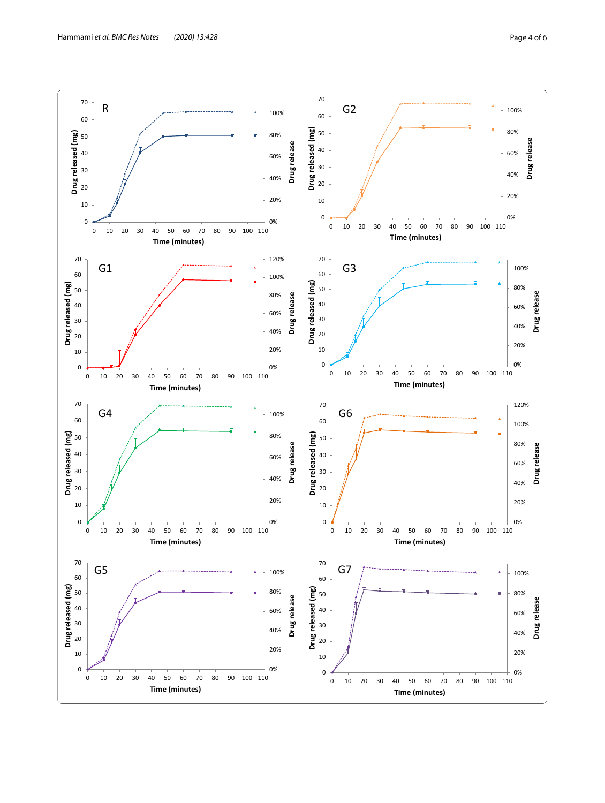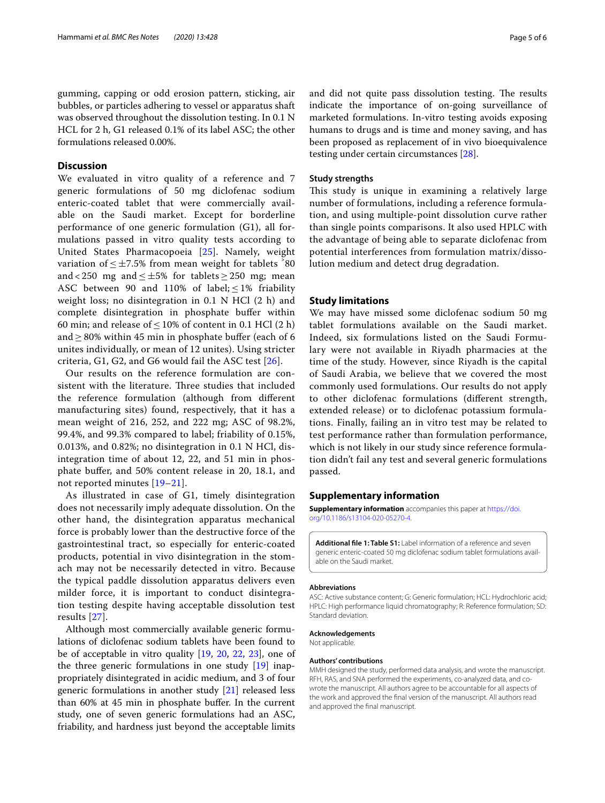gumming, capping or odd erosion pattern, sticking, air bubbles, or particles adhering to vessel or apparatus shaft was observed throughout the dissolution testing. In 0.1 N HCL for 2 h, G1 released 0.1% of its label ASC; the other formulations released 0.00%.

# **Discussion**

We evaluated in vitro quality of a reference and 7 generic formulations of 50 mg diclofenac sodium enteric-coated tablet that were commercially available on the Saudi market. Except for borderline performance of one generic formulation (G1), all formulations passed in vitro quality tests according to United States Pharmacopoeia [\[25](#page-5-16)]. Namely, weight variation of  $\leq \pm 7.5\%$  from mean weight for tablets  $\dot{\text{80}}$ and < 250 mg and  $\leq \pm 5\%$  for tablets  $\geq 250$  mg; mean ASC between 90 and 110% of label;  $\leq$  1% friability weight loss; no disintegration in  $0.1$  N HCl  $(2 h)$  and complete disintegration in phosphate buffer within 60 min; and release of  $\leq$  10% of content in 0.1 HCl (2 h) and  $\geq$  80% within 45 min in phosphate buffer (each of 6 unites individually, or mean of 12 unites). Using stricter criteria, G1, G2, and G6 would fail the ASC test [[26\]](#page-5-17).

Our results on the reference formulation are consistent with the literature. Three studies that included the reference formulation (although from diferent manufacturing sites) found, respectively, that it has a mean weight of 216, 252, and 222 mg; ASC of 98.2%, 99.4%, and 99.3% compared to label; friability of 0.15%, 0.013%, and 0.82%; no disintegration in 0.1 N HCl, disintegration time of about 12, 22, and 51 min in phosphate bufer, and 50% content release in 20, 18.1, and not reported minutes [\[19–](#page-5-11)[21\]](#page-5-14).

As illustrated in case of G1, timely disintegration does not necessarily imply adequate dissolution. On the other hand, the disintegration apparatus mechanical force is probably lower than the destructive force of the gastrointestinal tract, so especially for enteric-coated products, potential in vivo disintegration in the stomach may not be necessarily detected in vitro. Because the typical paddle dissolution apparatus delivers even milder force, it is important to conduct disintegration testing despite having acceptable dissolution test results [\[27\]](#page-5-18).

Although most commercially available generic formulations of diclofenac sodium tablets have been found to be of acceptable in vitro quality [[19,](#page-5-11) [20](#page-5-19), [22](#page-5-13), [23\]](#page-5-12), one of the three generic formulations in one study [[19\]](#page-5-11) inappropriately disintegrated in acidic medium, and 3 of four generic formulations in another study [\[21](#page-5-14)] released less than 60% at 45 min in phosphate bufer. In the current study, one of seven generic formulations had an ASC, friability, and hardness just beyond the acceptable limits and did not quite pass dissolution testing. The results indicate the importance of on-going surveillance of marketed formulations. In-vitro testing avoids exposing humans to drugs and is time and money saving, and has been proposed as replacement of in vivo bioequivalence testing under certain circumstances [\[28\]](#page-5-20).

## **Study strengths**

This study is unique in examining a relatively large number of formulations, including a reference formulation, and using multiple-point dissolution curve rather than single points comparisons. It also used HPLC with the advantage of being able to separate diclofenac from potential interferences from formulation matrix/dissolution medium and detect drug degradation.

#### **Study limitations**

We may have missed some diclofenac sodium 50 mg tablet formulations available on the Saudi market. Indeed, six formulations listed on the Saudi Formulary were not available in Riyadh pharmacies at the time of the study. However, since Riyadh is the capital of Saudi Arabia, we believe that we covered the most commonly used formulations. Our results do not apply to other diclofenac formulations (diferent strength, extended release) or to diclofenac potassium formulations. Finally, failing an in vitro test may be related to test performance rather than formulation performance, which is not likely in our study since reference formulation didn't fail any test and several generic formulations passed.

#### **Supplementary information**

**Supplementary information** accompanies this paper at [https://doi.](https://doi.org/10.1186/s13104-020-05270-4) [org/10.1186/s13104-020-05270-4](https://doi.org/10.1186/s13104-020-05270-4).

<span id="page-4-0"></span>**Additional fle 1: Table S1:** Label information of a reference and seven generic enteric-coated 50 mg diclofenac sodium tablet formulations available on the Saudi market.

#### **Abbreviations**

ASC: Active substance content; G: Generic formulation; HCL: Hydrochloric acid; HPLC: High performance liquid chromatography; R: Reference formulation; SD: Standard deviation.

#### **Acknowledgements**

Not applicable.

#### **Authors' contributions**

MMH designed the study, performed data analysis, and wrote the manuscript. RFH, RAS, and SNA performed the experiments, co-analyzed data, and cowrote the manuscript. All authors agree to be accountable for all aspects of the work and approved the fnal version of the manuscript. All authors read and approved the fnal manuscript.